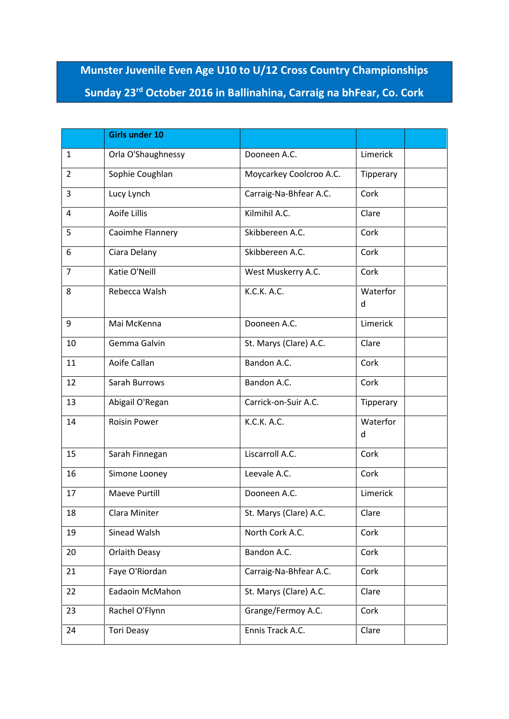## **Munster Juvenile Even Age U10 to U/12 Cross Country Championships Sunday 23rd October 2016 in Ballinahina, Carraig na bhFear, Co. Cork**

|                | <b>Girls under 10</b> |                         |               |
|----------------|-----------------------|-------------------------|---------------|
| 1              | Orla O'Shaughnessy    | Dooneen A.C.            | Limerick      |
| $\overline{2}$ | Sophie Coughlan       | Moycarkey Coolcroo A.C. | Tipperary     |
| 3              | Lucy Lynch            | Carraig-Na-Bhfear A.C.  | Cork          |
| 4              | Aoife Lillis          | Kilmihil A.C.           | Clare         |
| 5              | Caoimhe Flannery      | Skibbereen A.C.         | Cork          |
| 6              | Ciara Delany          | Skibbereen A.C.         | Cork          |
| $\overline{7}$ | Katie O'Neill         | West Muskerry A.C.      | Cork          |
| 8              | Rebecca Walsh         | K.C.K. A.C.             | Waterfor<br>d |
| 9              | Mai McKenna           | Dooneen A.C.            | Limerick      |
| 10             | Gemma Galvin          | St. Marys (Clare) A.C.  | Clare         |
| 11             | Aoife Callan          | Bandon A.C.             | Cork          |
| 12             | Sarah Burrows         | Bandon A.C.             | Cork          |
| 13             | Abigail O'Regan       | Carrick-on-Suir A.C.    | Tipperary     |
| 14             | <b>Roisin Power</b>   | K.C.K. A.C.             | Waterfor<br>d |
| 15             | Sarah Finnegan        | Liscarroll A.C.         | Cork          |
| 16             | Simone Looney         | Leevale A.C.            | Cork          |
| 17             | <b>Maeve Purtill</b>  | Dooneen A.C.            | Limerick      |
| 18             | Clara Miniter         | St. Marys (Clare) A.C.  | Clare         |
| 19             | Sinead Walsh          | North Cork A.C.         | Cork          |
| 20             | <b>Orlaith Deasy</b>  | Bandon A.C.             | Cork          |
| 21             | Faye O'Riordan        | Carraig-Na-Bhfear A.C.  | Cork          |
| 22             | Eadaoin McMahon       | St. Marys (Clare) A.C.  | Clare         |
| 23             | Rachel O'Flynn        | Grange/Fermoy A.C.      | Cork          |
| 24             | <b>Tori Deasy</b>     | Ennis Track A.C.        | Clare         |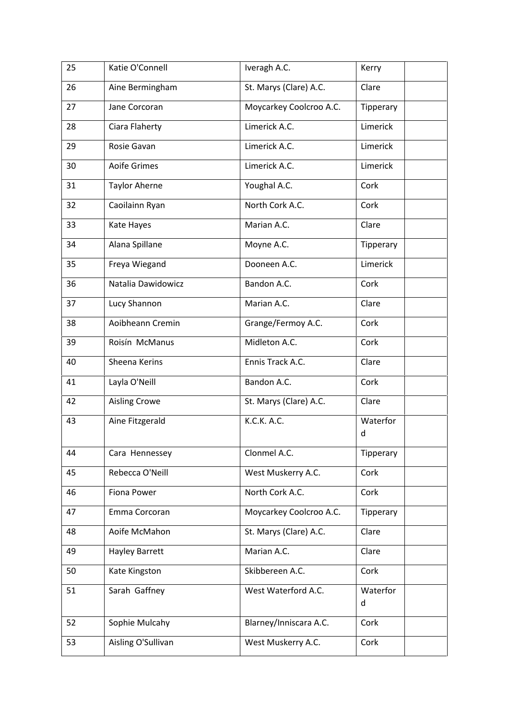| 25 | Katie O'Connell       | Iveragh A.C.            | Kerry         |
|----|-----------------------|-------------------------|---------------|
| 26 | Aine Bermingham       | St. Marys (Clare) A.C.  | Clare         |
| 27 | Jane Corcoran         | Moycarkey Coolcroo A.C. | Tipperary     |
| 28 | Ciara Flaherty        | Limerick A.C.           | Limerick      |
| 29 | Rosie Gavan           | Limerick A.C.           | Limerick      |
| 30 | Aoife Grimes          | Limerick A.C.           | Limerick      |
| 31 | <b>Taylor Aherne</b>  | Youghal A.C.            | Cork          |
| 32 | Caoilainn Ryan        | North Cork A.C.         | Cork          |
| 33 | Kate Hayes            | Marian A.C.             | Clare         |
| 34 | Alana Spillane        | Moyne A.C.              | Tipperary     |
| 35 | Freya Wiegand         | Dooneen A.C.            | Limerick      |
| 36 | Natalia Dawidowicz    | Bandon A.C.             | Cork          |
| 37 | Lucy Shannon          | Marian A.C.             | Clare         |
| 38 | Aoibheann Cremin      | Grange/Fermoy A.C.      | Cork          |
| 39 | Roisín McManus        | Midleton A.C.           | Cork          |
| 40 | Sheena Kerins         | Ennis Track A.C.        | Clare         |
| 41 | Layla O'Neill         | Bandon A.C.             | Cork          |
| 42 | <b>Aisling Crowe</b>  | St. Marys (Clare) A.C.  | Clare         |
| 43 | Aine Fitzgerald       | K.C.K. A.C.             | Waterfor<br>d |
|    |                       |                         |               |
| 44 | Cara Hennessey        | Clonmel A.C.            | Tipperary     |
| 45 | Rebecca O'Neill       | West Muskerry A.C.      | Cork          |
| 46 | Fiona Power           | North Cork A.C.         | Cork          |
| 47 | Emma Corcoran         | Moycarkey Coolcroo A.C. | Tipperary     |
| 48 | Aoife McMahon         | St. Marys (Clare) A.C.  | Clare         |
| 49 | <b>Hayley Barrett</b> | Marian A.C.             | Clare         |
| 50 | Kate Kingston         | Skibbereen A.C.         | Cork          |
| 51 | Sarah Gaffney         | West Waterford A.C.     | Waterfor<br>d |
| 52 | Sophie Mulcahy        | Blarney/Inniscara A.C.  | Cork          |
| 53 | Aisling O'Sullivan    | West Muskerry A.C.      | Cork          |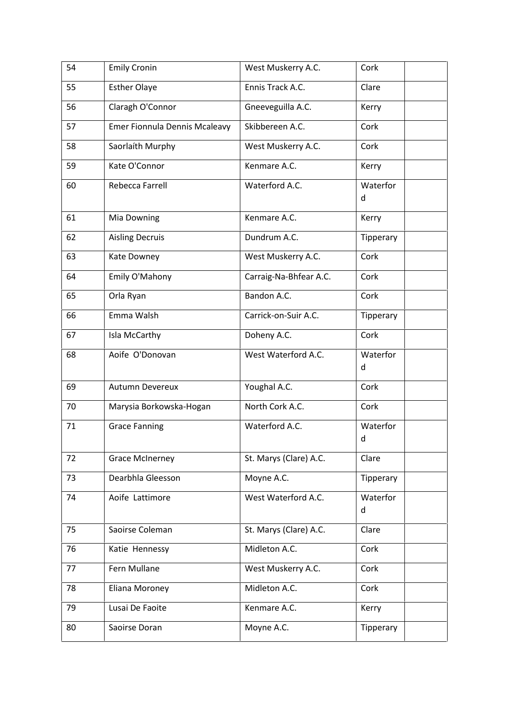| 54 | <b>Emily Cronin</b>                  | West Muskerry A.C.     | Cork          |
|----|--------------------------------------|------------------------|---------------|
| 55 | <b>Esther Olaye</b>                  | Ennis Track A.C.       | Clare         |
| 56 | Claragh O'Connor                     | Gneeveguilla A.C.      | Kerry         |
| 57 | <b>Emer Fionnula Dennis Mcaleavy</b> | Skibbereen A.C.        | Cork          |
| 58 | Saorlaíth Murphy                     | West Muskerry A.C.     | Cork          |
| 59 | Kate O'Connor                        | Kenmare A.C.           | Kerry         |
| 60 | Rebecca Farrell                      | Waterford A.C.         | Waterfor<br>d |
| 61 | Mia Downing                          | Kenmare A.C.           | Kerry         |
| 62 | <b>Aisling Decruis</b>               | Dundrum A.C.           | Tipperary     |
| 63 | Kate Downey                          | West Muskerry A.C.     | Cork          |
| 64 | Emily O'Mahony                       | Carraig-Na-Bhfear A.C. | Cork          |
| 65 | Orla Ryan                            | Bandon A.C.            | Cork          |
| 66 | Emma Walsh                           | Carrick-on-Suir A.C.   | Tipperary     |
| 67 | Isla McCarthy                        | Doheny A.C.            | Cork          |
| 68 | Aoife O'Donovan                      | West Waterford A.C.    | Waterfor<br>d |
| 69 | <b>Autumn Devereux</b>               | Youghal A.C.           | Cork          |
| 70 | Marysia Borkowska-Hogan              | North Cork A.C.        | Cork          |
| 71 | <b>Grace Fanning</b>                 | Waterford A.C.         | Waterfor<br>d |
| 72 | <b>Grace McInerney</b>               | St. Marys (Clare) A.C. | Clare         |
| 73 | Dearbhla Gleesson                    | Moyne A.C.             | Tipperary     |
| 74 | Aoife Lattimore                      | West Waterford A.C.    | Waterfor<br>d |
| 75 | Saoirse Coleman                      | St. Marys (Clare) A.C. | Clare         |
| 76 | Katie Hennessy                       | Midleton A.C.          | Cork          |
| 77 | Fern Mullane                         | West Muskerry A.C.     | Cork          |
| 78 | Eliana Moroney                       | Midleton A.C.          | Cork          |
| 79 | Lusai De Faoite                      | Kenmare A.C.           | Kerry         |
| 80 | Saoirse Doran                        | Moyne A.C.             | Tipperary     |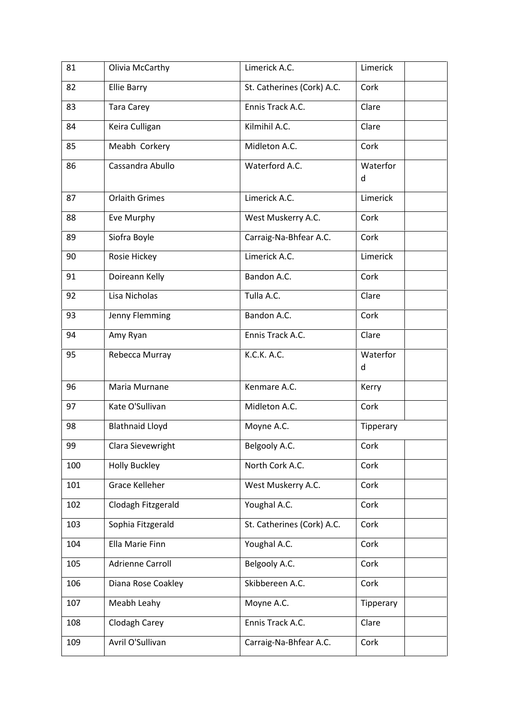| 81  | Olivia McCarthy         | Limerick A.C.              | Limerick      |
|-----|-------------------------|----------------------------|---------------|
| 82  | <b>Ellie Barry</b>      | St. Catherines (Cork) A.C. | Cork          |
| 83  | <b>Tara Carey</b>       | Ennis Track A.C.           | Clare         |
| 84  | Keira Culligan          | Kilmihil A.C.              | Clare         |
| 85  | Meabh Corkery           | Midleton A.C.              | Cork          |
| 86  | Cassandra Abullo        | Waterford A.C.             | Waterfor<br>d |
| 87  | <b>Orlaith Grimes</b>   | Limerick A.C.              | Limerick      |
| 88  | Eve Murphy              | West Muskerry A.C.         | Cork          |
| 89  | Siofra Boyle            | Carraig-Na-Bhfear A.C.     | Cork          |
| 90  | Rosie Hickey            | Limerick A.C.              | Limerick      |
| 91  | Doireann Kelly          | Bandon A.C.                | Cork          |
| 92  | Lisa Nicholas           | Tulla A.C.                 | Clare         |
| 93  | Jenny Flemming          | Bandon A.C.                | Cork          |
| 94  | Amy Ryan                | Ennis Track A.C.           | Clare         |
| 95  | Rebecca Murray          | K.C.K. A.C.                | Waterfor      |
|     |                         |                            | d             |
| 96  | Maria Murnane           | Kenmare A.C.               | Kerry         |
| 97  | Kate O'Sullivan         | Midleton A.C.              | Cork          |
| 98  | <b>Blathnaid Lloyd</b>  | Moyne A.C.                 | Tipperary     |
| 99  | Clara Sievewright       | Belgooly A.C.              | Cork          |
| 100 | <b>Holly Buckley</b>    | North Cork A.C.            | Cork          |
| 101 | <b>Grace Kelleher</b>   | West Muskerry A.C.         | Cork          |
| 102 | Clodagh Fitzgerald      | Youghal A.C.               | Cork          |
| 103 | Sophia Fitzgerald       | St. Catherines (Cork) A.C. | Cork          |
| 104 | Ella Marie Finn         | Youghal A.C.               | Cork          |
| 105 | <b>Adrienne Carroll</b> | Belgooly A.C.              | Cork          |
| 106 | Diana Rose Coakley      | Skibbereen A.C.            | Cork          |
| 107 | Meabh Leahy             | Moyne A.C.                 | Tipperary     |
| 108 | Clodagh Carey           | Ennis Track A.C.           | Clare         |
| 109 | Avril O'Sullivan        | Carraig-Na-Bhfear A.C.     | Cork          |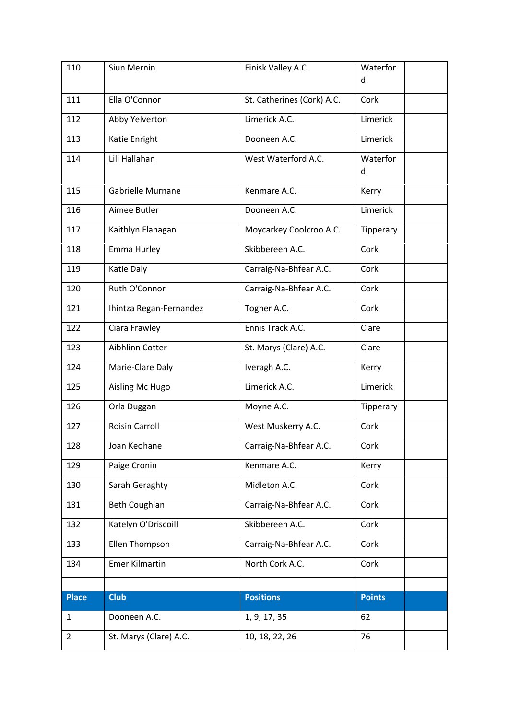| 110            | Siun Mernin             | Finisk Valley A.C.         | Waterfor      |
|----------------|-------------------------|----------------------------|---------------|
|                |                         |                            | d             |
| 111            | Ella O'Connor           | St. Catherines (Cork) A.C. | Cork          |
| 112            | Abby Yelverton          | Limerick A.C.              | Limerick      |
| 113            | Katie Enright           | Dooneen A.C.               | Limerick      |
| 114            | Lili Hallahan           | West Waterford A.C.        | Waterfor<br>d |
| 115            | Gabrielle Murnane       | Kenmare A.C.               | Kerry         |
| 116            | Aimee Butler            | Dooneen A.C.               | Limerick      |
| 117            | Kaithlyn Flanagan       | Moycarkey Coolcroo A.C.    | Tipperary     |
| 118            | Emma Hurley             | Skibbereen A.C.            | Cork          |
| 119            | Katie Daly              | Carraig-Na-Bhfear A.C.     | Cork          |
| 120            | Ruth O'Connor           | Carraig-Na-Bhfear A.C.     | Cork          |
| 121            | Ihintza Regan-Fernandez | Togher A.C.                | Cork          |
| 122            | Ciara Frawley           | Ennis Track A.C.           | Clare         |
| 123            | Aibhlinn Cotter         | St. Marys (Clare) A.C.     | Clare         |
| 124            | Marie-Clare Daly        | Iveragh A.C.               | Kerry         |
| 125            | Aisling Mc Hugo         | Limerick A.C.              | Limerick      |
| 126            | Orla Duggan             | Moyne A.C.                 | Tipperary     |
| 127            | <b>Roisin Carroll</b>   | West Muskerry A.C.         | Cork          |
| 128            | Joan Keohane            | Carraig-Na-Bhfear A.C.     | Cork          |
| 129            | Paige Cronin            | Kenmare A.C.               | Kerry         |
| 130            | Sarah Geraghty          | Midleton A.C.              | Cork          |
| 131            | <b>Beth Coughlan</b>    | Carraig-Na-Bhfear A.C.     | Cork          |
| 132            | Katelyn O'Driscoill     | Skibbereen A.C.            | Cork          |
| 133            | Ellen Thompson          | Carraig-Na-Bhfear A.C.     | Cork          |
| 134            | <b>Emer Kilmartin</b>   | North Cork A.C.            | Cork          |
|                |                         |                            |               |
| <b>Place</b>   | <b>Club</b>             | <b>Positions</b>           | <b>Points</b> |
| 1              | Dooneen A.C.            | 1, 9, 17, 35               | 62            |
| $\overline{2}$ | St. Marys (Clare) A.C.  | 10, 18, 22, 26             | 76            |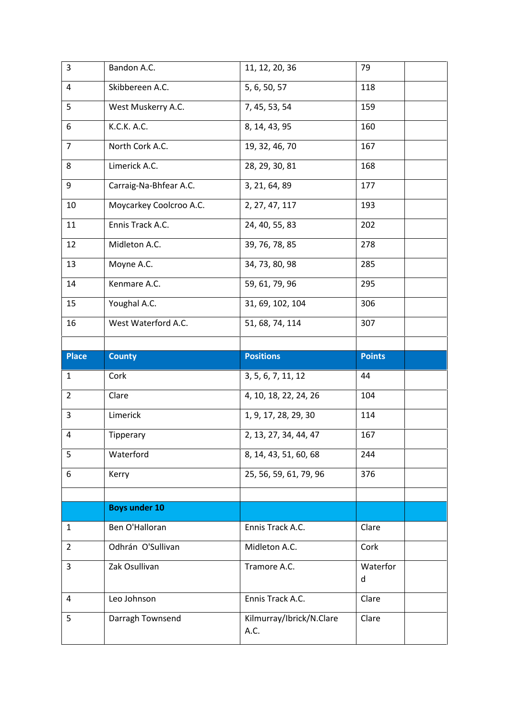| 3              | Bandon A.C.             | 11, 12, 20, 36         | 79            |
|----------------|-------------------------|------------------------|---------------|
| 4              | Skibbereen A.C.         | 5, 6, 50, 57           | 118           |
| 5              | West Muskerry A.C.      | 7, 45, 53, 54          | 159           |
| 6              | K.C.K. A.C.             | 8, 14, 43, 95          | 160           |
| $\overline{7}$ | North Cork A.C.         | 19, 32, 46, 70         | 167           |
| 8              | Limerick A.C.           | 28, 29, 30, 81         | 168           |
| 9              | Carraig-Na-Bhfear A.C.  | 3, 21, 64, 89          | 177           |
| 10             | Moycarkey Coolcroo A.C. | 2, 27, 47, 117         | 193           |
| 11             | Ennis Track A.C.        | 24, 40, 55, 83         | 202           |
| 12             | Midleton A.C.           | 39, 76, 78, 85         | 278           |
| 13             | Moyne A.C.              | 34, 73, 80, 98         | 285           |
| 14             | Kenmare A.C.            | 59, 61, 79, 96         | 295           |
| 15             | Youghal A.C.            | 31, 69, 102, 104       | 306           |
| 16             | West Waterford A.C.     | 51, 68, 74, 114        | 307           |
|                |                         |                        |               |
|                |                         |                        |               |
| <b>Place</b>   | <b>County</b>           | <b>Positions</b>       | <b>Points</b> |
| 1              | Cork                    | 3, 5, 6, 7, 11, 12     | 44            |
| $\overline{2}$ | Clare                   | 4, 10, 18, 22, 24, 26  | 104           |
| 3              | Limerick                | 1, 9, 17, 28, 29, 30   | 114           |
| 4              | Tipperary               | 2, 13, 27, 34, 44, 47  | 167           |
| 5              | Waterford               | 8, 14, 43, 51, 60, 68  | 244           |
| 6              | Kerry                   | 25, 56, 59, 61, 79, 96 | 376           |
|                |                         |                        |               |
|                | <b>Boys under 10</b>    |                        |               |
| $\mathbf{1}$   | Ben O'Halloran          | Ennis Track A.C.       | Clare         |
| $\overline{2}$ | Odhrán O'Sullivan       | Midleton A.C.          | Cork          |
| 3              | Zak Osullivan           | Tramore A.C.           | Waterfor<br>d |
| 4              | Leo Johnson             | Ennis Track A.C.       | Clare         |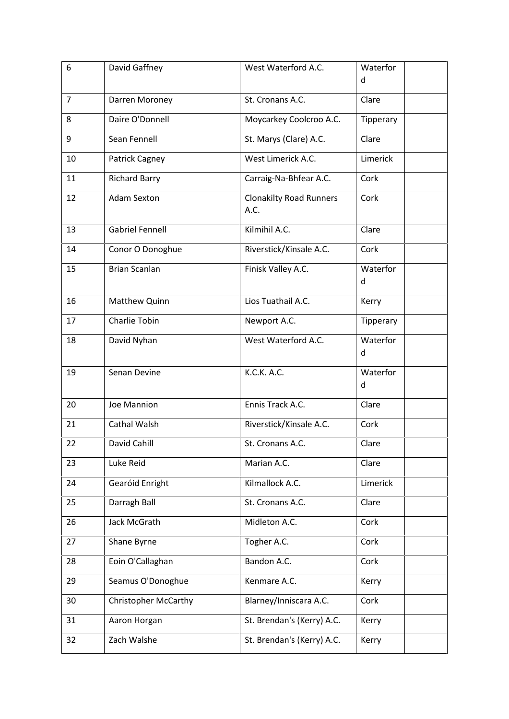| 6              | David Gaffney               | West Waterford A.C.                    | Waterfor<br>d |
|----------------|-----------------------------|----------------------------------------|---------------|
| $\overline{7}$ | Darren Moroney              | St. Cronans A.C.                       | Clare         |
| 8              | Daire O'Donnell             | Moycarkey Coolcroo A.C.                | Tipperary     |
| 9              | Sean Fennell                | St. Marys (Clare) A.C.                 | Clare         |
| 10             | Patrick Cagney              | West Limerick A.C.                     | Limerick      |
| 11             | <b>Richard Barry</b>        | Carraig-Na-Bhfear A.C.                 | Cork          |
| 12             | <b>Adam Sexton</b>          | <b>Clonakilty Road Runners</b><br>A.C. | Cork          |
| 13             | <b>Gabriel Fennell</b>      | Kilmihil A.C.                          | Clare         |
| 14             | Conor O Donoghue            | Riverstick/Kinsale A.C.                | Cork          |
| 15             | <b>Brian Scanlan</b>        | Finisk Valley A.C.                     | Waterfor<br>d |
| 16             | Matthew Quinn               | Lios Tuathail A.C.                     | Kerry         |
| 17             | Charlie Tobin               | Newport A.C.                           | Tipperary     |
| 18             | David Nyhan                 | West Waterford A.C.                    | Waterfor<br>d |
| 19             | Senan Devine                | K.C.K. A.C.                            | Waterfor<br>d |
| 20             | Joe Mannion                 | Ennis Track A.C.                       | Clare         |
| 21             | Cathal Walsh                | Riverstick/Kinsale A.C.                | Cork          |
| 22             | David Cahill                | St. Cronans A.C.                       | Clare         |
| 23             | Luke Reid                   | Marian A.C.                            | Clare         |
| 24             | Gearóid Enright             | Kilmallock A.C.                        | Limerick      |
| 25             | Darragh Ball                | St. Cronans A.C.                       | Clare         |
| 26             | Jack McGrath                | Midleton A.C.                          | Cork          |
| 27             | Shane Byrne                 | Togher A.C.                            | Cork          |
| 28             | Eoin O'Callaghan            | Bandon A.C.                            | Cork          |
| 29             | Seamus O'Donoghue           | Kenmare A.C.                           | Kerry         |
| 30             | <b>Christopher McCarthy</b> | Blarney/Inniscara A.C.                 | Cork          |
| 31             | Aaron Horgan                | St. Brendan's (Kerry) A.C.             | Kerry         |
| 32             | Zach Walshe                 | St. Brendan's (Kerry) A.C.             | Kerry         |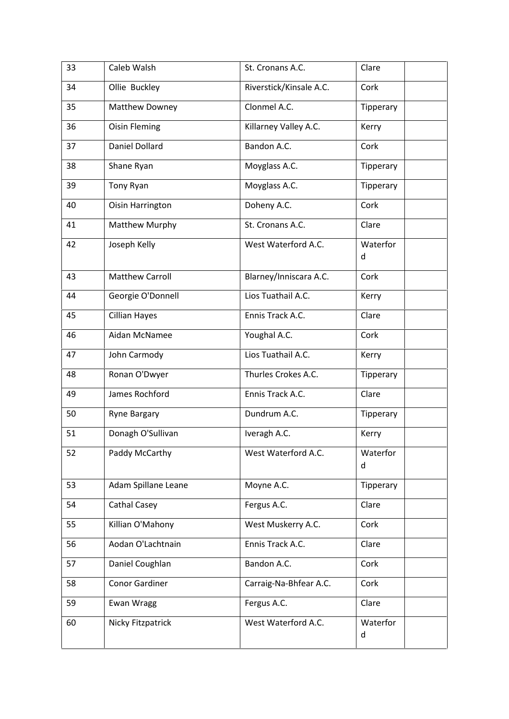| 33 | Caleb Walsh            | St. Cronans A.C.        | Clare         |
|----|------------------------|-------------------------|---------------|
| 34 | Ollie Buckley          | Riverstick/Kinsale A.C. | Cork          |
| 35 | Matthew Downey         | Clonmel A.C.            | Tipperary     |
| 36 | <b>Oisin Fleming</b>   | Killarney Valley A.C.   | Kerry         |
| 37 | <b>Daniel Dollard</b>  | Bandon A.C.             | Cork          |
| 38 | Shane Ryan             | Moyglass A.C.           | Tipperary     |
| 39 | Tony Ryan              | Moyglass A.C.           | Tipperary     |
| 40 | Oisin Harrington       | Doheny A.C.             | Cork          |
| 41 | Matthew Murphy         | St. Cronans A.C.        | Clare         |
| 42 | Joseph Kelly           | West Waterford A.C.     | Waterfor<br>d |
|    |                        |                         |               |
| 43 | <b>Matthew Carroll</b> | Blarney/Inniscara A.C.  | Cork          |
| 44 | Georgie O'Donnell      | Lios Tuathail A.C.      | Kerry         |
| 45 | <b>Cillian Hayes</b>   | Ennis Track A.C.        | Clare         |
| 46 | Aidan McNamee          | Youghal A.C.            | Cork          |
| 47 | John Carmody           | Lios Tuathail A.C.      | Kerry         |
| 48 | Ronan O'Dwyer          | Thurles Crokes A.C.     | Tipperary     |
| 49 | James Rochford         | Ennis Track A.C.        | Clare         |
| 50 | <b>Ryne Bargary</b>    | Dundrum A.C.            | Tipperary     |
| 51 | Donagh O'Sullivan      | Iveragh A.C.            | Kerry         |
| 52 | Paddy McCarthy         | West Waterford A.C.     | Waterfor<br>d |
| 53 | Adam Spillane Leane    | Moyne A.C.              | Tipperary     |
| 54 | <b>Cathal Casey</b>    | Fergus A.C.             | Clare         |
| 55 | Killian O'Mahony       | West Muskerry A.C.      | Cork          |
| 56 | Aodan O'Lachtnain      | Ennis Track A.C.        | Clare         |
| 57 | Daniel Coughlan        | Bandon A.C.             | Cork          |
| 58 | <b>Conor Gardiner</b>  | Carraig-Na-Bhfear A.C.  | Cork          |
| 59 | <b>Ewan Wragg</b>      | Fergus A.C.             | Clare         |
| 60 | Nicky Fitzpatrick      | West Waterford A.C.     | Waterfor<br>d |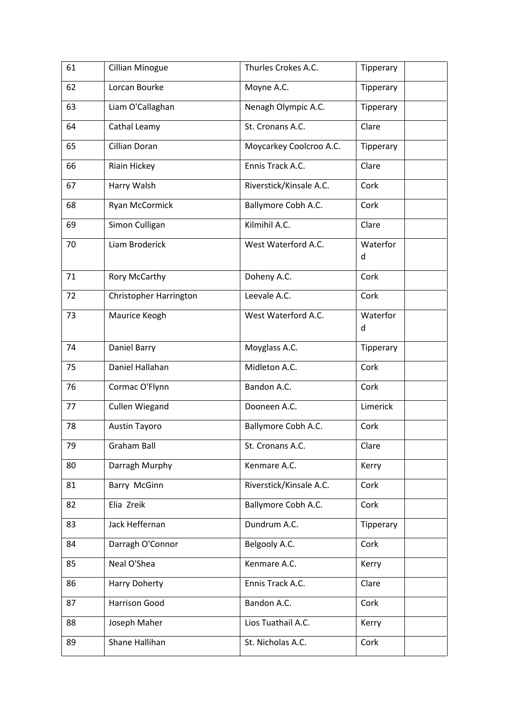| 61 | <b>Cillian Minogue</b> | Thurles Crokes A.C.     | Tipperary |
|----|------------------------|-------------------------|-----------|
| 62 | Lorcan Bourke          | Moyne A.C.              | Tipperary |
| 63 | Liam O'Callaghan       | Nenagh Olympic A.C.     | Tipperary |
| 64 | Cathal Leamy           | St. Cronans A.C.        | Clare     |
| 65 | Cillian Doran          | Moycarkey Coolcroo A.C. | Tipperary |
| 66 | Riain Hickey           | Ennis Track A.C.        | Clare     |
| 67 | Harry Walsh            | Riverstick/Kinsale A.C. | Cork      |
| 68 | <b>Ryan McCormick</b>  | Ballymore Cobh A.C.     | Cork      |
| 69 | Simon Culligan         | Kilmihil A.C.           | Clare     |
| 70 | Liam Broderick         | West Waterford A.C.     | Waterfor  |
|    |                        |                         | d         |
| 71 | Rory McCarthy          | Doheny A.C.             | Cork      |
| 72 | Christopher Harrington | Leevale A.C.            | Cork      |
| 73 | Maurice Keogh          | West Waterford A.C.     | Waterfor  |
|    |                        |                         | d         |
| 74 | Daniel Barry           | Moyglass A.C.           | Tipperary |
| 75 | Daniel Hallahan        | Midleton A.C.           | Cork      |
| 76 | Cormac O'Flynn         | Bandon A.C.             | Cork      |
| 77 | <b>Cullen Wiegand</b>  | Dooneen A.C.            | Limerick  |
| 78 | Austin Tayoro          | Ballymore Cobh A.C.     | Cork      |
| 79 | Graham Ball            | St. Cronans A.C.        | Clare     |
| 80 | Darragh Murphy         | Kenmare A.C.            | Kerry     |
| 81 | Barry McGinn           | Riverstick/Kinsale A.C. | Cork      |
| 82 | Elia Zreik             | Ballymore Cobh A.C.     | Cork      |
| 83 | Jack Heffernan         | Dundrum A.C.            | Tipperary |
| 84 | Darragh O'Connor       | Belgooly A.C.           | Cork      |
| 85 | Neal O'Shea            | Kenmare A.C.            | Kerry     |
| 86 | <b>Harry Doherty</b>   | Ennis Track A.C.        | Clare     |
| 87 | Harrison Good          | Bandon A.C.             | Cork      |
| 88 | Joseph Maher           | Lios Tuathail A.C.      | Kerry     |
| 89 | Shane Hallihan         | St. Nicholas A.C.       | Cork      |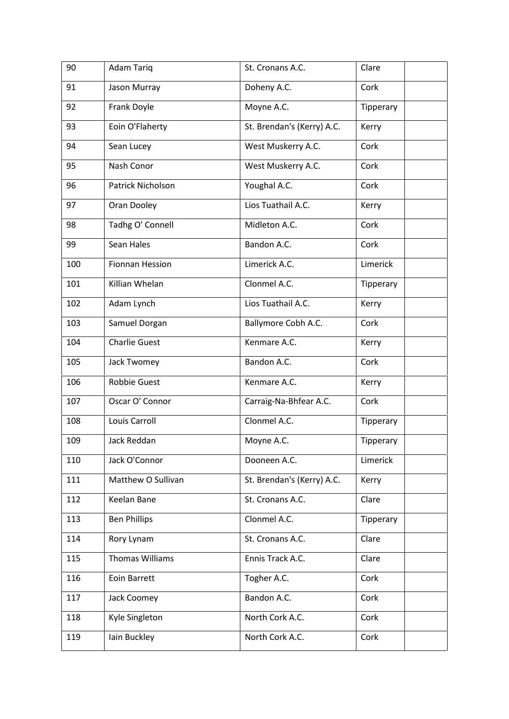| 90  | <b>Adam Tariq</b>      | St. Cronans A.C.           | Clare     |
|-----|------------------------|----------------------------|-----------|
| 91  | Jason Murray           | Doheny A.C.                | Cork      |
| 92  | Frank Doyle            | Moyne A.C.                 | Tipperary |
| 93  | Eoin O'Flaherty        | St. Brendan's (Kerry) A.C. | Kerry     |
| 94  | Sean Lucey             | West Muskerry A.C.         | Cork      |
| 95  | Nash Conor             | West Muskerry A.C.         | Cork      |
| 96  | Patrick Nicholson      | Youghal A.C.               | Cork      |
| 97  | Oran Dooley            | Lios Tuathail A.C.         | Kerry     |
| 98  | Tadhg O' Connell       | Midleton A.C.              | Cork      |
| 99  | Sean Hales             | Bandon A.C.                | Cork      |
| 100 | <b>Fionnan Hession</b> | Limerick A.C.              | Limerick  |
| 101 | Killian Whelan         | Clonmel A.C.               | Tipperary |
| 102 | Adam Lynch             | Lios Tuathail A.C.         | Kerry     |
| 103 | Samuel Dorgan          | Ballymore Cobh A.C.        | Cork      |
| 104 | <b>Charlie Guest</b>   | Kenmare A.C.               | Kerry     |
| 105 | Jack Twomey            | Bandon A.C.                | Cork      |
| 106 | <b>Robbie Guest</b>    | Kenmare A.C.               | Kerry     |
| 107 | Oscar O' Connor        | Carraig-Na-Bhfear A.C.     | Cork      |
| 108 | Louis Carroll          | Clonmel A.C.               | Tipperary |
| 109 | Jack Reddan            | Moyne A.C.                 | Tipperary |
| 110 | Jack O'Connor          | Dooneen A.C.               | Limerick  |
| 111 | Matthew O Sullivan     | St. Brendan's (Kerry) A.C. | Kerry     |
| 112 | Keelan Bane            | St. Cronans A.C.           | Clare     |
| 113 | <b>Ben Phillips</b>    | Clonmel A.C.               | Tipperary |
| 114 | Rory Lynam             | St. Cronans A.C.           | Clare     |
| 115 | <b>Thomas Williams</b> | Ennis Track A.C.           | Clare     |
| 116 | Eoin Barrett           | Togher A.C.                | Cork      |
| 117 | Jack Coomey            | Bandon A.C.                | Cork      |
| 118 | Kyle Singleton         | North Cork A.C.            | Cork      |
| 119 | Iain Buckley           | North Cork A.C.            | Cork      |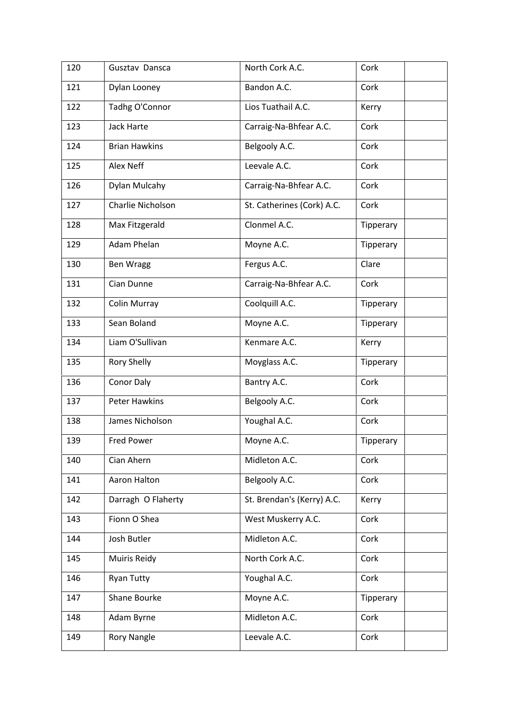| 120 | Gusztav Dansca       | North Cork A.C.            | Cork      |
|-----|----------------------|----------------------------|-----------|
| 121 | Dylan Looney         | Bandon A.C.                | Cork      |
| 122 | Tadhg O'Connor       | Lios Tuathail A.C.         | Kerry     |
| 123 | Jack Harte           | Carraig-Na-Bhfear A.C.     | Cork      |
| 124 | <b>Brian Hawkins</b> | Belgooly A.C.              | Cork      |
| 125 | Alex Neff            | Leevale A.C.               | Cork      |
| 126 | Dylan Mulcahy        | Carraig-Na-Bhfear A.C.     | Cork      |
| 127 | Charlie Nicholson    | St. Catherines (Cork) A.C. | Cork      |
| 128 | Max Fitzgerald       | Clonmel A.C.               | Tipperary |
| 129 | Adam Phelan          | Moyne A.C.                 | Tipperary |
| 130 | <b>Ben Wragg</b>     | Fergus A.C.                | Clare     |
| 131 | Cian Dunne           | Carraig-Na-Bhfear A.C.     | Cork      |
| 132 | <b>Colin Murray</b>  | Coolquill A.C.             | Tipperary |
| 133 | Sean Boland          | Moyne A.C.                 | Tipperary |
| 134 | Liam O'Sullivan      | Kenmare A.C.               | Kerry     |
| 135 | <b>Rory Shelly</b>   | Moyglass A.C.              | Tipperary |
| 136 | <b>Conor Daly</b>    | Bantry A.C.                | Cork      |
| 137 | Peter Hawkins        | Belgooly A.C.              | Cork      |
| 138 | James Nicholson      | Youghal A.C.               | Cork      |
| 139 | <b>Fred Power</b>    | Moyne A.C.                 | Tipperary |
| 140 | Cian Ahern           | Midleton A.C.              | Cork      |
| 141 | Aaron Halton         | Belgooly A.C.              | Cork      |
| 142 | Darragh O Flaherty   | St. Brendan's (Kerry) A.C. | Kerry     |
| 143 | Fionn O Shea         | West Muskerry A.C.         | Cork      |
| 144 | Josh Butler          | Midleton A.C.              | Cork      |
| 145 | Muiris Reidy         | North Cork A.C.            | Cork      |
| 146 | <b>Ryan Tutty</b>    | Youghal A.C.               | Cork      |
| 147 | Shane Bourke         | Moyne A.C.                 | Tipperary |
| 148 | Adam Byrne           | Midleton A.C.              | Cork      |
| 149 | <b>Rory Nangle</b>   | Leevale A.C.               | Cork      |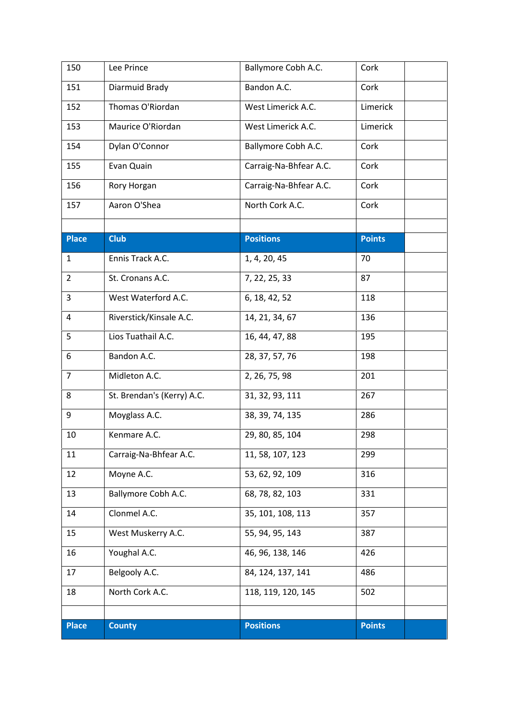| 150            | Lee Prince                 | Ballymore Cobh A.C.    | Cork          |  |
|----------------|----------------------------|------------------------|---------------|--|
| 151            | Diarmuid Brady             | Bandon A.C.            | Cork          |  |
| 152            | Thomas O'Riordan           | West Limerick A.C.     | Limerick      |  |
| 153            | Maurice O'Riordan          | West Limerick A.C.     | Limerick      |  |
| 154            | Dylan O'Connor             | Ballymore Cobh A.C.    | Cork          |  |
| 155            | Evan Quain                 | Carraig-Na-Bhfear A.C. | Cork          |  |
| 156            | Rory Horgan                | Carraig-Na-Bhfear A.C. | Cork          |  |
| 157            | Aaron O'Shea               | North Cork A.C.        | Cork          |  |
|                |                            |                        |               |  |
| <b>Place</b>   | <b>Club</b>                | <b>Positions</b>       | <b>Points</b> |  |
| 1              | Ennis Track A.C.           | 1, 4, 20, 45           | 70            |  |
| $\overline{2}$ | St. Cronans A.C.           | 7, 22, 25, 33          | 87            |  |
| 3              | West Waterford A.C.        | 6, 18, 42, 52          | 118           |  |
| 4              | Riverstick/Kinsale A.C.    | 14, 21, 34, 67         | 136           |  |
| 5              | Lios Tuathail A.C.         | 16, 44, 47, 88         | 195           |  |
| 6              | Bandon A.C.                | 28, 37, 57, 76         | 198           |  |
| $\overline{7}$ | Midleton A.C.              | 2, 26, 75, 98          | 201           |  |
| 8              | St. Brendan's (Kerry) A.C. | 31, 32, 93, 111        | 267           |  |
| 9              | Moyglass A.C.              | 38, 39, 74, 135        | 286           |  |
| 10             | Kenmare A.C.               | 29, 80, 85, 104        | 298           |  |
| 11             | Carraig-Na-Bhfear A.C.     | 11, 58, 107, 123       | 299           |  |
| 12             | Moyne A.C.                 | 53, 62, 92, 109        | 316           |  |
| 13             | Ballymore Cobh A.C.        | 68, 78, 82, 103        | 331           |  |
| 14             | Clonmel A.C.               | 35, 101, 108, 113      | 357           |  |
| 15             | West Muskerry A.C.         | 55, 94, 95, 143        | 387           |  |
| 16             | Youghal A.C.               | 46, 96, 138, 146       | 426           |  |
| 17             | Belgooly A.C.              | 84, 124, 137, 141      | 486           |  |
| 18             | North Cork A.C.            | 118, 119, 120, 145     | 502           |  |
|                |                            |                        |               |  |
| <b>Place</b>   | <b>County</b>              | <b>Positions</b>       | <b>Points</b> |  |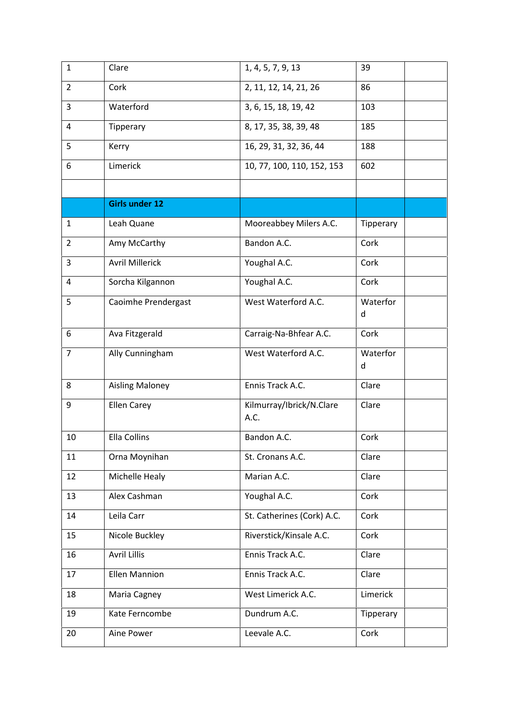| $\mathbf{1}$   | Clare                  | 1, 4, 5, 7, 9, 13                | 39            |
|----------------|------------------------|----------------------------------|---------------|
| $\overline{2}$ | Cork                   | 2, 11, 12, 14, 21, 26            | 86            |
| 3              | Waterford              | 3, 6, 15, 18, 19, 42             | 103           |
| 4              | Tipperary              | 8, 17, 35, 38, 39, 48            | 185           |
| 5              | Kerry                  | 16, 29, 31, 32, 36, 44           | 188           |
| 6              | Limerick               | 10, 77, 100, 110, 152, 153       | 602           |
|                |                        |                                  |               |
|                | <b>Girls under 12</b>  |                                  |               |
| $\mathbf{1}$   | Leah Quane             | Mooreabbey Milers A.C.           | Tipperary     |
| $\overline{2}$ | Amy McCarthy           | Bandon A.C.                      | Cork          |
| 3              | <b>Avril Millerick</b> | Youghal A.C.                     | Cork          |
| 4              | Sorcha Kilgannon       | Youghal A.C.                     | Cork          |
| 5              | Caoimhe Prendergast    | West Waterford A.C.              | Waterfor<br>d |
| 6              | Ava Fitzgerald         | Carraig-Na-Bhfear A.C.           | Cork          |
| $\overline{7}$ | Ally Cunningham        | West Waterford A.C.              | Waterfor      |
|                |                        |                                  | d             |
| 8              | <b>Aisling Maloney</b> | Ennis Track A.C.                 | Clare         |
| 9              | <b>Ellen Carey</b>     | Kilmurray/Ibrick/N.Clare<br>A.C. | Clare         |
| 10             | <b>Ella Collins</b>    | Bandon A.C.                      | Cork          |
| 11             | Orna Moynihan          | St. Cronans A.C.                 | Clare         |
| 12             | Michelle Healy         | Marian A.C.                      | Clare         |
| 13             | Alex Cashman           | Youghal A.C.                     | Cork          |
| 14             | Leila Carr             | St. Catherines (Cork) A.C.       | Cork          |
| 15             | Nicole Buckley         | Riverstick/Kinsale A.C.          | Cork          |
| 16             | <b>Avril Lillis</b>    | Ennis Track A.C.                 | Clare         |
| 17             | <b>Ellen Mannion</b>   | Ennis Track A.C.                 | Clare         |
| 18             | Maria Cagney           | West Limerick A.C.               | Limerick      |
| 19             | Kate Ferncombe         | Dundrum A.C.                     | Tipperary     |
| 20             | Aine Power             | Leevale A.C.                     | Cork          |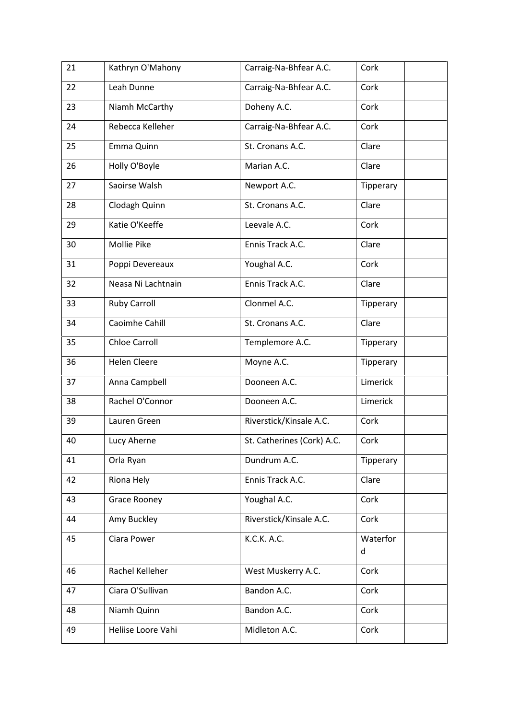| 21 | Kathryn O'Mahony     | Carraig-Na-Bhfear A.C.     | Cork      |
|----|----------------------|----------------------------|-----------|
| 22 | Leah Dunne           | Carraig-Na-Bhfear A.C.     | Cork      |
| 23 | Niamh McCarthy       | Doheny A.C.                | Cork      |
| 24 | Rebecca Kelleher     | Carraig-Na-Bhfear A.C.     | Cork      |
| 25 | Emma Quinn           | St. Cronans A.C.           | Clare     |
| 26 | Holly O'Boyle        | Marian A.C.                | Clare     |
| 27 | Saoirse Walsh        | Newport A.C.               | Tipperary |
| 28 | Clodagh Quinn        | St. Cronans A.C.           | Clare     |
| 29 | Katie O'Keeffe       | Leevale A.C.               | Cork      |
| 30 | Mollie Pike          | Ennis Track A.C.           | Clare     |
| 31 | Poppi Devereaux      | Youghal A.C.               | Cork      |
| 32 | Neasa Ni Lachtnain   | Ennis Track A.C.           | Clare     |
| 33 | Ruby Carroll         | Clonmel A.C.               | Tipperary |
| 34 | Caoimhe Cahill       | St. Cronans A.C.           | Clare     |
| 35 | <b>Chloe Carroll</b> | Templemore A.C.            | Tipperary |
| 36 | <b>Helen Cleere</b>  | Moyne A.C.                 | Tipperary |
| 37 | Anna Campbell        | Dooneen A.C.               | Limerick  |
| 38 | Rachel O'Connor      | Dooneen A.C.               | Limerick  |
| 39 | Lauren Green         | Riverstick/Kinsale A.C.    | Cork      |
| 40 | Lucy Aherne          | St. Catherines (Cork) A.C. | Cork      |
| 41 | Orla Ryan            | Dundrum A.C.               | Tipperary |
| 42 | Riona Hely           | Ennis Track A.C.           | Clare     |
| 43 | <b>Grace Rooney</b>  | Youghal A.C.               | Cork      |
| 44 | Amy Buckley          | Riverstick/Kinsale A.C.    | Cork      |
| 45 | Ciara Power          | K.C.K. A.C.                | Waterfor  |
|    |                      |                            | d         |
| 46 | Rachel Kelleher      | West Muskerry A.C.         | Cork      |
| 47 | Ciara O'Sullivan     | Bandon A.C.                | Cork      |
| 48 | Niamh Quinn          | Bandon A.C.                | Cork      |
| 49 | Heliise Loore Vahi   | Midleton A.C.              | Cork      |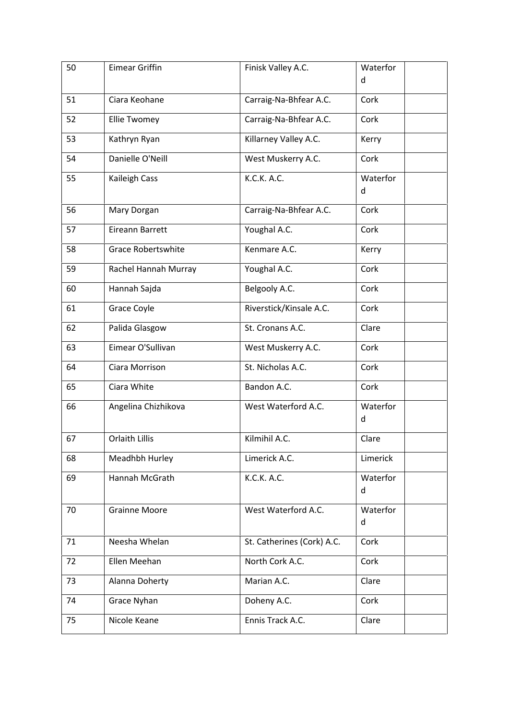| 50 | <b>Eimear Griffin</b>     | Finisk Valley A.C.         | Waterfor      |
|----|---------------------------|----------------------------|---------------|
|    |                           |                            | d             |
| 51 | Ciara Keohane             | Carraig-Na-Bhfear A.C.     | Cork          |
| 52 | <b>Ellie Twomey</b>       | Carraig-Na-Bhfear A.C.     | Cork          |
| 53 | Kathryn Ryan              | Killarney Valley A.C.      | Kerry         |
| 54 | Danielle O'Neill          | West Muskerry A.C.         | Cork          |
| 55 | Kaileigh Cass             | K.C.K. A.C.                | Waterfor<br>d |
| 56 | Mary Dorgan               | Carraig-Na-Bhfear A.C.     | Cork          |
| 57 | Eireann Barrett           | Youghal A.C.               | Cork          |
| 58 | <b>Grace Robertswhite</b> | Kenmare A.C.               | Kerry         |
| 59 | Rachel Hannah Murray      | Youghal A.C.               | Cork          |
| 60 | Hannah Sajda              | Belgooly A.C.              | Cork          |
| 61 | Grace Coyle               | Riverstick/Kinsale A.C.    | Cork          |
| 62 | Palida Glasgow            | St. Cronans A.C.           | Clare         |
| 63 | Eimear O'Sullivan         | West Muskerry A.C.         | Cork          |
| 64 | Ciara Morrison            | St. Nicholas A.C.          | Cork          |
| 65 | Ciara White               | Bandon A.C.                | Cork          |
| 66 | Angelina Chizhikova       | West Waterford A.C.        | Waterfor<br>d |
| 67 | Orlaith Lillis            | Kilmihil A.C.              | Clare         |
| 68 | Meadhbh Hurley            | Limerick A.C.              | Limerick      |
| 69 | Hannah McGrath            | K.C.K. A.C.                | Waterfor<br>d |
| 70 | <b>Grainne Moore</b>      | West Waterford A.C.        | Waterfor<br>d |
| 71 | Neesha Whelan             | St. Catherines (Cork) A.C. | Cork          |
| 72 | Ellen Meehan              | North Cork A.C.            | Cork          |
| 73 | Alanna Doherty            | Marian A.C.                | Clare         |
| 74 | Grace Nyhan               | Doheny A.C.                | Cork          |
| 75 | Nicole Keane              | Ennis Track A.C.           | Clare         |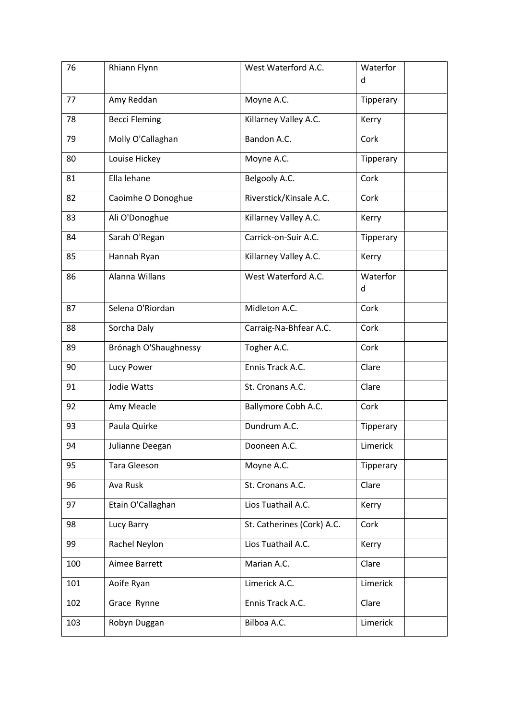| 76  | Rhiann Flynn          | West Waterford A.C.        | Waterfor  |
|-----|-----------------------|----------------------------|-----------|
|     |                       |                            | d         |
| 77  | Amy Reddan            | Moyne A.C.                 | Tipperary |
| 78  | <b>Becci Fleming</b>  | Killarney Valley A.C.      | Kerry     |
| 79  | Molly O'Callaghan     | Bandon A.C.                | Cork      |
| 80  | Louise Hickey         | Moyne A.C.                 | Tipperary |
| 81  | Ella lehane           | Belgooly A.C.              | Cork      |
| 82  | Caoimhe O Donoghue    | Riverstick/Kinsale A.C.    | Cork      |
| 83  | Ali O'Donoghue        | Killarney Valley A.C.      | Kerry     |
| 84  | Sarah O'Regan         | Carrick-on-Suir A.C.       | Tipperary |
| 85  | Hannah Ryan           | Killarney Valley A.C.      | Kerry     |
| 86  | Alanna Willans        | West Waterford A.C.        | Waterfor  |
|     |                       |                            | d         |
| 87  | Selena O'Riordan      | Midleton A.C.              | Cork      |
| 88  | Sorcha Daly           | Carraig-Na-Bhfear A.C.     | Cork      |
| 89  | Brónagh O'Shaughnessy | Togher A.C.                | Cork      |
| 90  | Lucy Power            | Ennis Track A.C.           | Clare     |
| 91  | Jodie Watts           | St. Cronans A.C.           | Clare     |
| 92  | Amy Meacle            | Ballymore Cobh A.C.        | Cork      |
| 93  | Paula Quirke          | Dundrum A.C.               | Tipperary |
| 94  | Julianne Deegan       | Dooneen A.C.               | Limerick  |
| 95  | <b>Tara Gleeson</b>   | Moyne A.C.                 | Tipperary |
| 96  | Ava Rusk              | St. Cronans A.C.           | Clare     |
| 97  | Etain O'Callaghan     | Lios Tuathail A.C.         | Kerry     |
| 98  | Lucy Barry            | St. Catherines (Cork) A.C. | Cork      |
| 99  | Rachel Neylon         | Lios Tuathail A.C.         | Kerry     |
| 100 | Aimee Barrett         | Marian A.C.                | Clare     |
| 101 | Aoife Ryan            | Limerick A.C.              | Limerick  |
| 102 | Grace Rynne           | Ennis Track A.C.           | Clare     |
| 103 | Robyn Duggan          | Bilboa A.C.                | Limerick  |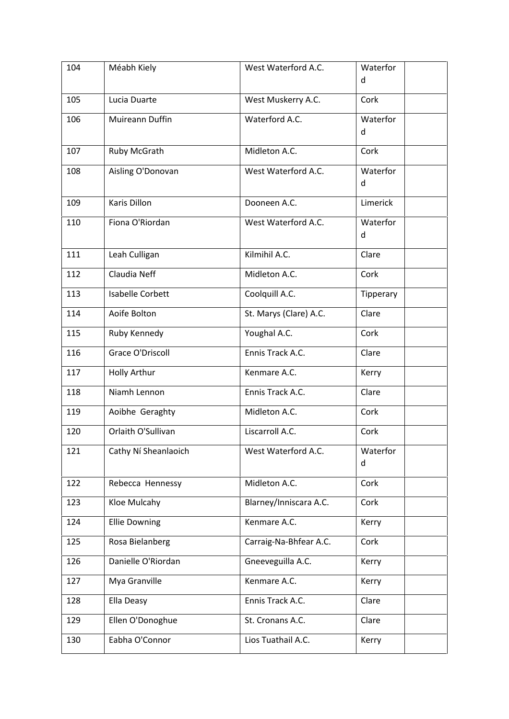| 104 | Méabh Kiely             | West Waterford A.C.    | Waterfor  |
|-----|-------------------------|------------------------|-----------|
|     |                         |                        | d         |
| 105 | Lucia Duarte            | West Muskerry A.C.     | Cork      |
| 106 | Muireann Duffin         | Waterford A.C.         | Waterfor  |
|     |                         |                        | d         |
| 107 | Ruby McGrath            | Midleton A.C.          | Cork      |
| 108 | Aisling O'Donovan       | West Waterford A.C.    | Waterfor  |
|     |                         |                        | d         |
| 109 | Karis Dillon            | Dooneen A.C.           | Limerick  |
| 110 | Fiona O'Riordan         | West Waterford A.C.    | Waterfor  |
|     |                         |                        | d         |
| 111 | Leah Culligan           | Kilmihil A.C.          | Clare     |
| 112 | Claudia Neff            | Midleton A.C.          | Cork      |
| 113 | <b>Isabelle Corbett</b> | Coolquill A.C.         | Tipperary |
| 114 | Aoife Bolton            | St. Marys (Clare) A.C. | Clare     |
| 115 | Ruby Kennedy            | Youghal A.C.           | Cork      |
| 116 | Grace O'Driscoll        | Ennis Track A.C.       | Clare     |
| 117 | <b>Holly Arthur</b>     | Kenmare A.C.           | Kerry     |
| 118 | Niamh Lennon            | Ennis Track A.C.       | Clare     |
| 119 | Aoibhe Geraghty         | Midleton A.C.          | Cork      |
| 120 | Orlaith O'Sullivan      | Liscarroll A.C.        | Cork      |
| 121 | Cathy Ní Sheanlaoich    | West Waterford A.C.    | Waterfor  |
|     |                         |                        | d         |
| 122 | Rebecca Hennessy        | Midleton A.C.          | Cork      |
| 123 | Kloe Mulcahy            | Blarney/Inniscara A.C. | Cork      |
| 124 | <b>Ellie Downing</b>    | Kenmare A.C.           | Kerry     |
| 125 | Rosa Bielanberg         | Carraig-Na-Bhfear A.C. | Cork      |
| 126 | Danielle O'Riordan      | Gneeveguilla A.C.      | Kerry     |
| 127 | Mya Granville           | Kenmare A.C.           | Kerry     |
| 128 | Ella Deasy              | Ennis Track A.C.       | Clare     |
| 129 | Ellen O'Donoghue        | St. Cronans A.C.       | Clare     |
| 130 | Eabha O'Connor          | Lios Tuathail A.C.     | Kerry     |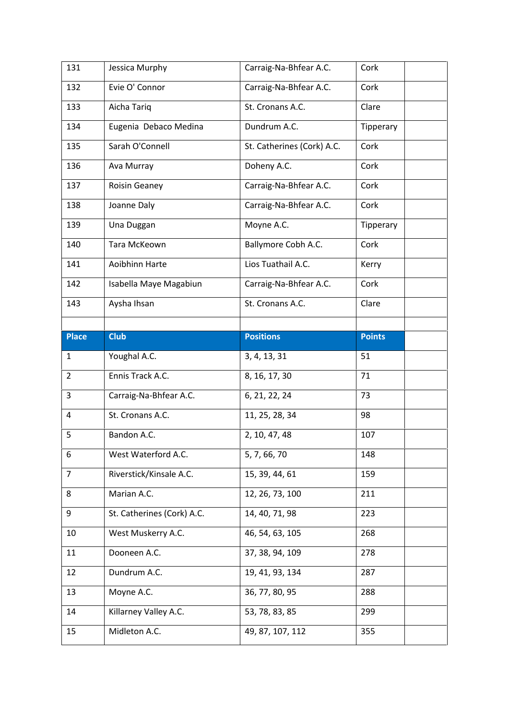| 131            | Jessica Murphy             | Carraig-Na-Bhfear A.C.     | Cork          |
|----------------|----------------------------|----------------------------|---------------|
| 132            | Evie O' Connor             | Carraig-Na-Bhfear A.C.     | Cork          |
| 133            | Aicha Tariq                | St. Cronans A.C.           | Clare         |
| 134            | Eugenia Debaco Medina      | Dundrum A.C.               | Tipperary     |
| 135            | Sarah O'Connell            | St. Catherines (Cork) A.C. | Cork          |
| 136            | Ava Murray                 | Doheny A.C.                | Cork          |
| 137            | <b>Roisin Geaney</b>       | Carraig-Na-Bhfear A.C.     | Cork          |
| 138            | Joanne Daly                | Carraig-Na-Bhfear A.C.     | Cork          |
| 139            | Una Duggan                 | Moyne A.C.                 | Tipperary     |
| 140            | Tara McKeown               | Ballymore Cobh A.C.        | Cork          |
| 141            | Aoibhinn Harte             | Lios Tuathail A.C.         | Kerry         |
| 142            | Isabella Maye Magabiun     | Carraig-Na-Bhfear A.C.     | Cork          |
| 143            | Aysha Ihsan                | St. Cronans A.C.           | Clare         |
|                |                            |                            |               |
| <b>Place</b>   | <b>Club</b>                | <b>Positions</b>           | <b>Points</b> |
|                |                            |                            |               |
| $\mathbf{1}$   | Youghal A.C.               | 3, 4, 13, 31               | 51            |
| 2              | Ennis Track A.C.           | 8, 16, 17, 30              | 71            |
| 3              | Carraig-Na-Bhfear A.C.     | 6, 21, 22, 24              | 73            |
| 4              | St. Cronans A.C.           | 11, 25, 28, 34             | 98            |
| 5              | Bandon A.C.                | 2, 10, 47, 48              | 107           |
| 6              | West Waterford A.C.        | 5, 7, 66, 70               | 148           |
| $\overline{7}$ | Riverstick/Kinsale A.C.    | 15, 39, 44, 61             | 159           |
| 8              | Marian A.C.                | 12, 26, 73, 100            | 211           |
| 9              | St. Catherines (Cork) A.C. | 14, 40, 71, 98             | 223           |
| 10             | West Muskerry A.C.         | 46, 54, 63, 105            | 268           |
| 11             | Dooneen A.C.               | 37, 38, 94, 109            | 278           |
| 12             | Dundrum A.C.               | 19, 41, 93, 134            | 287           |
| 13             | Moyne A.C.                 | 36, 77, 80, 95             | 288           |
| 14             | Killarney Valley A.C.      | 53, 78, 83, 85             | 299           |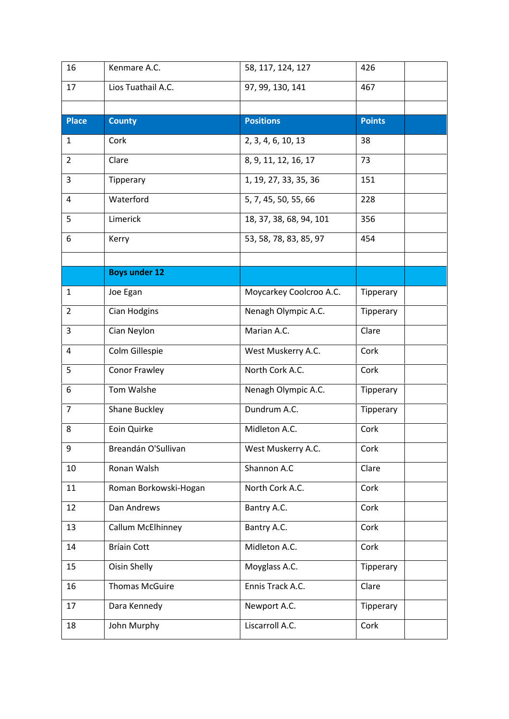| 16             | Kenmare A.C.          | 58, 117, 124, 127       | 426           |
|----------------|-----------------------|-------------------------|---------------|
| 17             | Lios Tuathail A.C.    | 97, 99, 130, 141        | 467           |
|                |                       |                         |               |
| <b>Place</b>   | <b>County</b>         | <b>Positions</b>        | <b>Points</b> |
| 1              | Cork                  | 2, 3, 4, 6, 10, 13      | 38            |
| $\overline{2}$ | Clare                 | 8, 9, 11, 12, 16, 17    | 73            |
| 3              | Tipperary             | 1, 19, 27, 33, 35, 36   | 151           |
| 4              | Waterford             | 5, 7, 45, 50, 55, 66    | 228           |
| 5              | Limerick              | 18, 37, 38, 68, 94, 101 | 356           |
| 6              | Kerry                 | 53, 58, 78, 83, 85, 97  | 454           |
|                |                       |                         |               |
|                | <b>Boys under 12</b>  |                         |               |
| $\mathbf{1}$   | Joe Egan              | Moycarkey Coolcroo A.C. | Tipperary     |
| $\overline{2}$ | Cian Hodgins          | Nenagh Olympic A.C.     | Tipperary     |
| 3              | Cian Neylon           | Marian A.C.             | Clare         |
| 4              | Colm Gillespie        | West Muskerry A.C.      | Cork          |
| 5              | <b>Conor Frawley</b>  | North Cork A.C.         | Cork          |
| 6              | Tom Walshe            | Nenagh Olympic A.C.     | Tipperary     |
| $\overline{7}$ | Shane Buckley         | Dundrum A.C.            | Tipperary     |
| 8              | Eoin Quirke           | Midleton A.C.           | Cork          |
| 9              | Breandán O'Sullivan   | West Muskerry A.C.      | Cork          |
| 10             | Ronan Walsh           | Shannon A.C             | Clare         |
| 11             | Roman Borkowski-Hogan | North Cork A.C.         | Cork          |
| 12             | Dan Andrews           | Bantry A.C.             | Cork          |
| 13             | Callum McElhinney     | Bantry A.C.             | Cork          |
| 14             | <b>Bríain Cott</b>    | Midleton A.C.           | Cork          |
| 15             | <b>Oisin Shelly</b>   | Moyglass A.C.           | Tipperary     |
| 16             | <b>Thomas McGuire</b> | Ennis Track A.C.        | Clare         |
| 17             | Dara Kennedy          | Newport A.C.            | Tipperary     |
| 18             | John Murphy           | Liscarroll A.C.         | Cork          |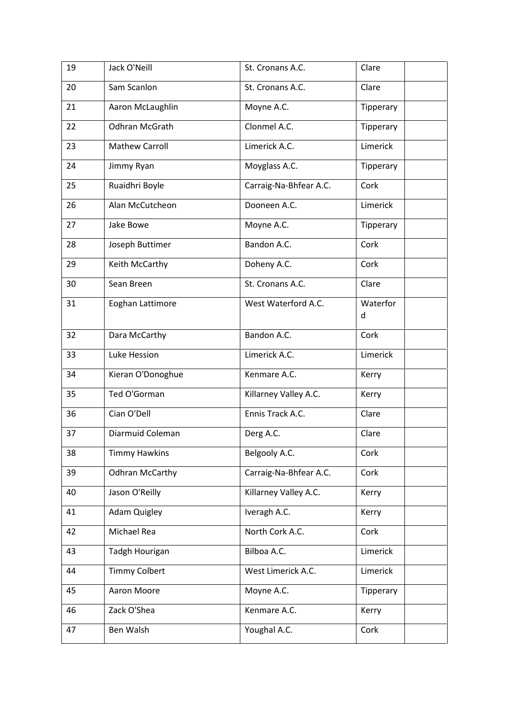| 19 | Jack O'Neill           | St. Cronans A.C.       | Clare         |
|----|------------------------|------------------------|---------------|
| 20 | Sam Scanlon            | St. Cronans A.C.       | Clare         |
| 21 | Aaron McLaughlin       | Moyne A.C.             | Tipperary     |
| 22 | <b>Odhran McGrath</b>  | Clonmel A.C.           | Tipperary     |
| 23 | <b>Mathew Carroll</b>  | Limerick A.C.          | Limerick      |
| 24 | Jimmy Ryan             | Moyglass A.C.          | Tipperary     |
| 25 | Ruaidhri Boyle         | Carraig-Na-Bhfear A.C. | Cork          |
| 26 | Alan McCutcheon        | Dooneen A.C.           | Limerick      |
| 27 | Jake Bowe              | Moyne A.C.             | Tipperary     |
| 28 | Joseph Buttimer        | Bandon A.C.            | Cork          |
| 29 | Keith McCarthy         | Doheny A.C.            | Cork          |
| 30 | Sean Breen             | St. Cronans A.C.       | Clare         |
| 31 | Eoghan Lattimore       | West Waterford A.C.    | Waterfor<br>d |
| 32 | Dara McCarthy          | Bandon A.C.            | Cork          |
| 33 | Luke Hession           | Limerick A.C.          | Limerick      |
| 34 | Kieran O'Donoghue      | Kenmare A.C.           | Kerry         |
| 35 | Ted O'Gorman           | Killarney Valley A.C.  | Kerry         |
| 36 | Cian O'Dell            | Ennis Track A.C.       | Clare         |
| 37 | Diarmuid Coleman       | Derg A.C.              | Clare         |
| 38 | <b>Timmy Hawkins</b>   | Belgooly A.C.          | Cork          |
| 39 | <b>Odhran McCarthy</b> | Carraig-Na-Bhfear A.C. | Cork          |
| 40 | Jason O'Reilly         | Killarney Valley A.C.  | Kerry         |
| 41 | <b>Adam Quigley</b>    | Iveragh A.C.           | Kerry         |
| 42 | Michael Rea            | North Cork A.C.        | Cork          |
| 43 | Tadgh Hourigan         | Bilboa A.C.            | Limerick      |
| 44 | <b>Timmy Colbert</b>   | West Limerick A.C.     | Limerick      |
| 45 | Aaron Moore            | Moyne A.C.             | Tipperary     |
| 46 | Zack O'Shea            | Kenmare A.C.           | Kerry         |
| 47 | Ben Walsh              | Youghal A.C.           | Cork          |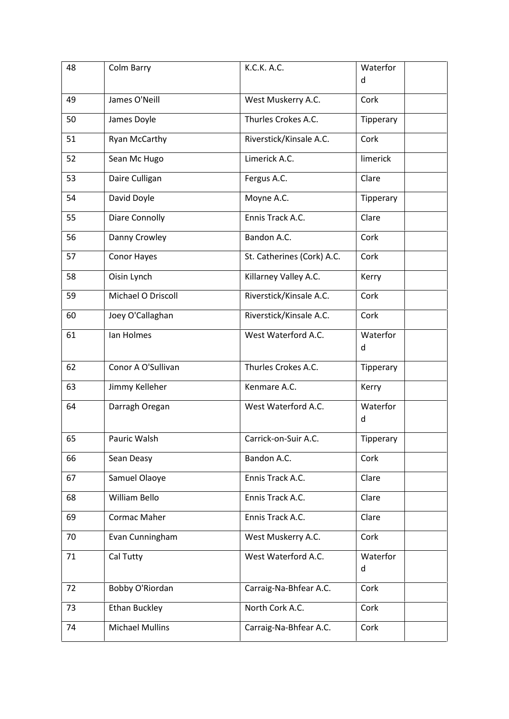| 48 | Colm Barry             | K.C.K. A.C.                | Waterfor<br>d |
|----|------------------------|----------------------------|---------------|
| 49 | James O'Neill          | West Muskerry A.C.         | Cork          |
| 50 | James Doyle            | Thurles Crokes A.C.        | Tipperary     |
| 51 | <b>Ryan McCarthy</b>   | Riverstick/Kinsale A.C.    | Cork          |
| 52 | Sean Mc Hugo           | Limerick A.C.              | limerick      |
| 53 | Daire Culligan         | Fergus A.C.                | Clare         |
| 54 | David Doyle            | Moyne A.C.                 | Tipperary     |
| 55 | Diare Connolly         | Ennis Track A.C.           | Clare         |
| 56 | Danny Crowley          | Bandon A.C.                | Cork          |
| 57 | Conor Hayes            | St. Catherines (Cork) A.C. | Cork          |
| 58 | Oisin Lynch            | Killarney Valley A.C.      | Kerry         |
| 59 | Michael O Driscoll     | Riverstick/Kinsale A.C.    | Cork          |
| 60 | Joey O'Callaghan       | Riverstick/Kinsale A.C.    | Cork          |
| 61 | Ian Holmes             | West Waterford A.C.        | Waterfor<br>d |
| 62 | Conor A O'Sullivan     | Thurles Crokes A.C.        | Tipperary     |
| 63 | Jimmy Kelleher         | Kenmare A.C.               | Kerry         |
| 64 | Darragh Oregan         | West Waterford A.C.        | Waterfor<br>d |
| 65 | Pauric Walsh           | Carrick-on-Suir A.C.       | Tipperary     |
| 66 | Sean Deasy             | Bandon A.C.                | Cork          |
| 67 | Samuel Olaoye          | Ennis Track A.C.           | Clare         |
| 68 | William Bello          | Ennis Track A.C.           | Clare         |
| 69 | Cormac Maher           | Ennis Track A.C.           | Clare         |
| 70 | Evan Cunningham        | West Muskerry A.C.         | Cork          |
| 71 | Cal Tutty              | West Waterford A.C.        | Waterfor<br>d |
| 72 | Bobby O'Riordan        | Carraig-Na-Bhfear A.C.     | Cork          |
| 73 | <b>Ethan Buckley</b>   | North Cork A.C.            | Cork          |
| 74 | <b>Michael Mullins</b> | Carraig-Na-Bhfear A.C.     | Cork          |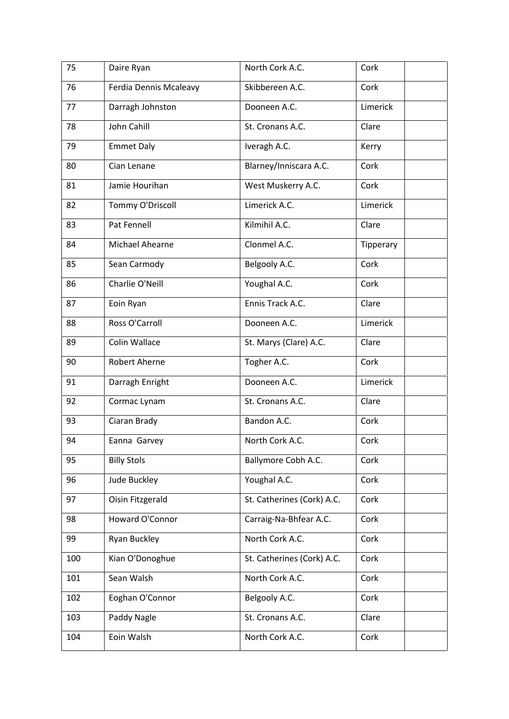| 75  | Daire Ryan             | North Cork A.C.            | Cork      |
|-----|------------------------|----------------------------|-----------|
| 76  | Ferdia Dennis Mcaleavy | Skibbereen A.C.            | Cork      |
| 77  | Darragh Johnston       | Dooneen A.C.               | Limerick  |
| 78  | John Cahill            | St. Cronans A.C.           | Clare     |
| 79  | <b>Emmet Daly</b>      | Iveragh A.C.               | Kerry     |
| 80  | Cian Lenane            | Blarney/Inniscara A.C.     | Cork      |
| 81  | Jamie Hourihan         | West Muskerry A.C.         | Cork      |
| 82  | Tommy O'Driscoll       | Limerick A.C.              | Limerick  |
| 83  | Pat Fennell            | Kilmihil A.C.              | Clare     |
| 84  | Michael Ahearne        | Clonmel A.C.               | Tipperary |
| 85  | Sean Carmody           | Belgooly A.C.              | Cork      |
| 86  | Charlie O'Neill        | Youghal A.C.               | Cork      |
| 87  | Eoin Ryan              | Ennis Track A.C.           | Clare     |
| 88  | Ross O'Carroll         | Dooneen A.C.               | Limerick  |
| 89  | Colin Wallace          | St. Marys (Clare) A.C.     | Clare     |
| 90  | Robert Aherne          | Togher A.C.                | Cork      |
| 91  | Darragh Enright        | Dooneen A.C.               | Limerick  |
| 92  | Cormac Lynam           | St. Cronans A.C.           | Clare     |
| 93  | Ciaran Brady           | Bandon A.C.                | Cork      |
| 94  | Eanna Garvey           | North Cork A.C.            | Cork      |
| 95  | <b>Billy Stols</b>     | Ballymore Cobh A.C.        | Cork      |
| 96  | Jude Buckley           | Youghal A.C.               | Cork      |
| 97  | Oisin Fitzgerald       | St. Catherines (Cork) A.C. | Cork      |
| 98  | Howard O'Connor        | Carraig-Na-Bhfear A.C.     | Cork      |
| 99  | Ryan Buckley           | North Cork A.C.            | Cork      |
| 100 | Kian O'Donoghue        | St. Catherines (Cork) A.C. | Cork      |
| 101 | Sean Walsh             | North Cork A.C.            | Cork      |
| 102 | Eoghan O'Connor        | Belgooly A.C.              | Cork      |
| 103 | Paddy Nagle            | St. Cronans A.C.           | Clare     |
| 104 | Eoin Walsh             | North Cork A.C.            | Cork      |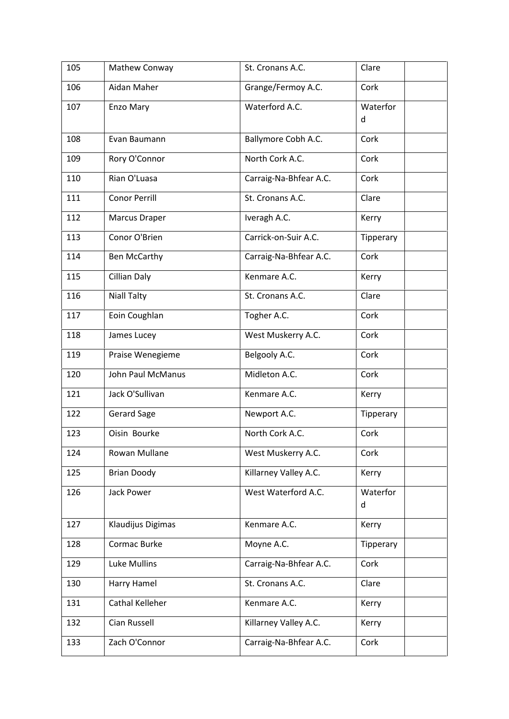| 105 | Mathew Conway        | St. Cronans A.C.       | Clare     |
|-----|----------------------|------------------------|-----------|
| 106 | Aidan Maher          | Grange/Fermoy A.C.     | Cork      |
| 107 | Enzo Mary            | Waterford A.C.         | Waterfor  |
|     |                      |                        | d         |
| 108 | Evan Baumann         | Ballymore Cobh A.C.    | Cork      |
| 109 | Rory O'Connor        | North Cork A.C.        | Cork      |
| 110 | Rian O'Luasa         | Carraig-Na-Bhfear A.C. | Cork      |
| 111 | <b>Conor Perrill</b> | St. Cronans A.C.       | Clare     |
| 112 | <b>Marcus Draper</b> | Iveragh A.C.           | Kerry     |
| 113 | Conor O'Brien        | Carrick-on-Suir A.C.   | Tipperary |
| 114 | Ben McCarthy         | Carraig-Na-Bhfear A.C. | Cork      |
| 115 | <b>Cillian Daly</b>  | Kenmare A.C.           | Kerry     |
| 116 | <b>Niall Talty</b>   | St. Cronans A.C.       | Clare     |
| 117 | Eoin Coughlan        | Togher A.C.            | Cork      |
| 118 | James Lucey          | West Muskerry A.C.     | Cork      |
| 119 | Praise Wenegieme     | Belgooly A.C.          | Cork      |
| 120 | John Paul McManus    | Midleton A.C.          | Cork      |
| 121 | Jack O'Sullivan      | Kenmare A.C.           | Kerry     |
| 122 | <b>Gerard Sage</b>   | Newport A.C.           | Tipperary |
| 123 | Oisin Bourke         | North Cork A.C.        | Cork      |
| 124 | Rowan Mullane        | West Muskerry A.C.     | Cork      |
| 125 | <b>Brian Doody</b>   | Killarney Valley A.C.  | Kerry     |
| 126 | <b>Jack Power</b>    | West Waterford A.C.    | Waterfor  |
|     |                      |                        | d         |
| 127 | Klaudijus Digimas    | Kenmare A.C.           | Kerry     |
| 128 | Cormac Burke         | Moyne A.C.             | Tipperary |
| 129 | <b>Luke Mullins</b>  | Carraig-Na-Bhfear A.C. | Cork      |
| 130 | Harry Hamel          | St. Cronans A.C.       | Clare     |
| 131 | Cathal Kelleher      | Kenmare A.C.           | Kerry     |
| 132 | Cian Russell         | Killarney Valley A.C.  | Kerry     |
| 133 | Zach O'Connor        | Carraig-Na-Bhfear A.C. | Cork      |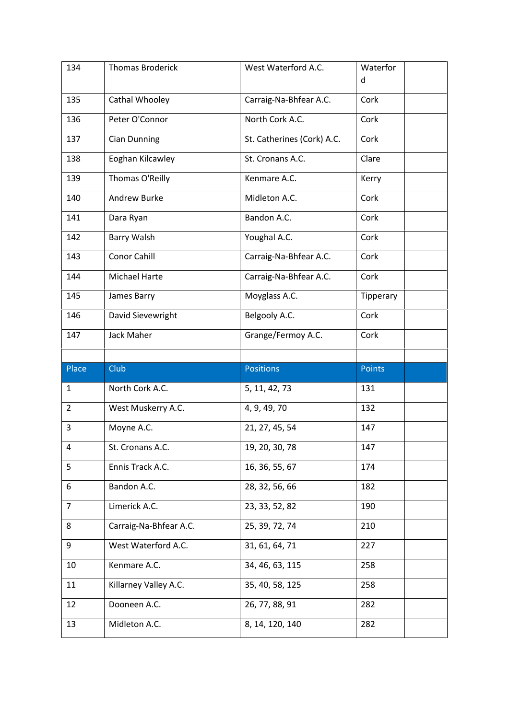| 134            | <b>Thomas Broderick</b> | West Waterford A.C.        | Waterfor      |
|----------------|-------------------------|----------------------------|---------------|
|                |                         |                            | d             |
| 135            | Cathal Whooley          | Carraig-Na-Bhfear A.C.     | Cork          |
| 136            | Peter O'Connor          | North Cork A.C.            | Cork          |
| 137            | <b>Cian Dunning</b>     | St. Catherines (Cork) A.C. | Cork          |
| 138            | Eoghan Kilcawley        | St. Cronans A.C.           | Clare         |
| 139            | Thomas O'Reilly         | Kenmare A.C.               | Kerry         |
| 140            | Andrew Burke            | Midleton A.C.              | Cork          |
| 141            | Dara Ryan               | Bandon A.C.                | Cork          |
| 142            | Barry Walsh             | Youghal A.C.               | Cork          |
| 143            | <b>Conor Cahill</b>     | Carraig-Na-Bhfear A.C.     | Cork          |
| 144            | Michael Harte           | Carraig-Na-Bhfear A.C.     | Cork          |
| 145            | James Barry             | Moyglass A.C.              | Tipperary     |
| 146            | David Sievewright       | Belgooly A.C.              | Cork          |
| 147            | Jack Maher              | Grange/Fermoy A.C.         | Cork          |
|                |                         |                            |               |
|                |                         |                            |               |
| Place          | Club                    | <b>Positions</b>           | <b>Points</b> |
| $\mathbf{1}$   | North Cork A.C.         | 5, 11, 42, 73              | 131           |
| $\overline{2}$ | West Muskerry A.C.      | 4, 9, 49, 70               | 132           |
| 3              | Moyne A.C.              | 21, 27, 45, 54             | 147           |
| 4              | St. Cronans A.C.        | 19, 20, 30, 78             | 147           |
| 5              | Ennis Track A.C.        | 16, 36, 55, 67             | 174           |
| 6              | Bandon A.C.             | 28, 32, 56, 66             | 182           |
| $\overline{7}$ | Limerick A.C.           | 23, 33, 52, 82             | 190           |
| 8              | Carraig-Na-Bhfear A.C.  | 25, 39, 72, 74             | 210           |
| 9              | West Waterford A.C.     | 31, 61, 64, 71             | 227           |
| 10             | Kenmare A.C.            | 34, 46, 63, 115            | 258           |
| 11             | Killarney Valley A.C.   | 35, 40, 58, 125            | 258           |
| 12             | Dooneen A.C.            | 26, 77, 88, 91             | 282           |